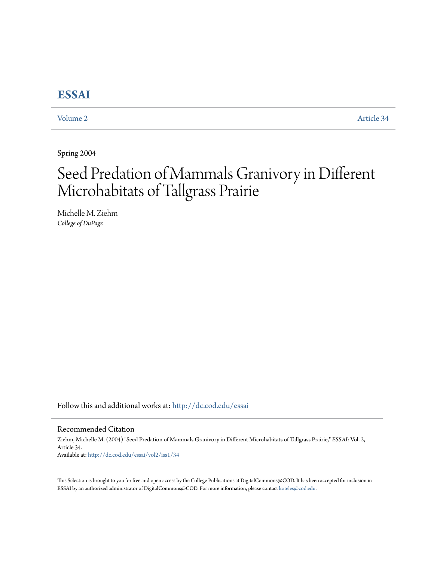# **[ESSAI](http://dc.cod.edu/essai?utm_source=dc.cod.edu%2Fessai%2Fvol2%2Fiss1%2F34&utm_medium=PDF&utm_campaign=PDFCoverPages)**

[Volume 2](http://dc.cod.edu/essai/vol2?utm_source=dc.cod.edu%2Fessai%2Fvol2%2Fiss1%2F34&utm_medium=PDF&utm_campaign=PDFCoverPages) [Article 34](http://dc.cod.edu/essai/vol2/iss1/34?utm_source=dc.cod.edu%2Fessai%2Fvol2%2Fiss1%2F34&utm_medium=PDF&utm_campaign=PDFCoverPages)

Spring 2004

# Seed Predation of Mammals Granivory in Different Microhabitats of Tallgrass Prairie

Michelle M. Ziehm *College of DuPage*

Follow this and additional works at: [http://dc.cod.edu/essai](http://dc.cod.edu/essai?utm_source=dc.cod.edu%2Fessai%2Fvol2%2Fiss1%2F34&utm_medium=PDF&utm_campaign=PDFCoverPages)

# Recommended Citation

Ziehm, Michelle M. (2004) "Seed Predation of Mammals Granivory in Different Microhabitats of Tallgrass Prairie," *ESSAI*: Vol. 2, Article 34. Available at: [http://dc.cod.edu/essai/vol2/iss1/34](http://dc.cod.edu/essai/vol2/iss1/34?utm_source=dc.cod.edu%2Fessai%2Fvol2%2Fiss1%2F34&utm_medium=PDF&utm_campaign=PDFCoverPages)

This Selection is brought to you for free and open access by the College Publications at DigitalCommons@COD. It has been accepted for inclusion in ESSAI by an authorized administrator of DigitalCommons@COD. For more information, please contact [koteles@cod.edu](mailto:koteles@cod.edu).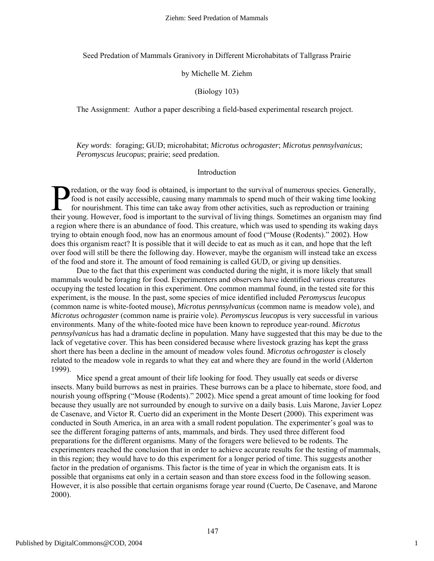Seed Predation of Mammals Granivory in Different Microhabitats of Tallgrass Prairie

# by Michelle M. Ziehm

# (Biology 103)

The Assignment: Author a paper describing a field-based experimental research project.

*Key words*: foraging; GUD; microhabitat; *Microtus ochrogaster*; *Microtus pennsylvanicus*; *Peromyscus leucopus*; prairie; seed predation.

# Introduction

redation, or the way food is obtained, is important to the survival of numerous species. Generally, food is not easily accessible, causing many mammals to spend much of their waking time looking for nourishment. This time food is not easily accessible, causing many mammals to spend much of their waking time looking for nourishment. This time can take away from other activities, such as reproduction or training their young. However, food is important to the survival of living things. Sometimes an organism may find a region where there is an abundance of food. This creature, which was used to spending its waking days trying to obtain enough food, now has an enormous amount of food ("Mouse (Rodents)." 2002). How does this organism react? It is possible that it will decide to eat as much as it can, and hope that the left over food will still be there the following day. However, maybe the organism will instead take an excess of the food and store it. The amount of food remaining is called GUD, or giving up densities.

Due to the fact that this experiment was conducted during the night, it is more likely that small mammals would be foraging for food. Experimenters and observers have identified various creatures occupying the tested location in this experiment. One common mammal found, in the tested site for this experiment, is the mouse. In the past, some species of mice identified included *Peromyscus leucopus* (common name is white-footed mouse), *Microtus pennsylvanicus* (common name is meadow vole), and *Microtus ochrogaster* (common name is prairie vole). *Peromyscus leucopus* is very successful in various environments. Many of the white-footed mice have been known to reproduce year-round. *Microtus pennsylvanicus* has had a dramatic decline in population. Many have suggested that this may be due to the lack of vegetative cover. This has been considered because where livestock grazing has kept the grass short there has been a decline in the amount of meadow voles found. *Microtus ochrogaster* is closely related to the meadow vole in regards to what they eat and where they are found in the world (Alderton 1999).

Mice spend a great amount of their life looking for food. They usually eat seeds or diverse insects. Many build burrows as nest in prairies. These burrows can be a place to hibernate, store food, and nourish young offspring ("Mouse (Rodents)." 2002). Mice spend a great amount of time looking for food because they usually are not surrounded by enough to survive on a daily basis. Luis Marone, Javier Lopez de Casenave, and Victor R. Cuerto did an experiment in the Monte Desert (2000). This experiment was conducted in South America, in an area with a small rodent population. The experimenter's goal was to see the different foraging patterns of ants, mammals, and birds. They used three different food preparations for the different organisms. Many of the foragers were believed to be rodents. The experimenters reached the conclusion that in order to achieve accurate results for the testing of mammals, in this region; they would have to do this experiment for a longer period of time. This suggests another factor in the predation of organisms. This factor is the time of year in which the organism eats. It is possible that organisms eat only in a certain season and than store excess food in the following season. However, it is also possible that certain organisms forage year round (Cuerto, De Casenave, and Marone 2000).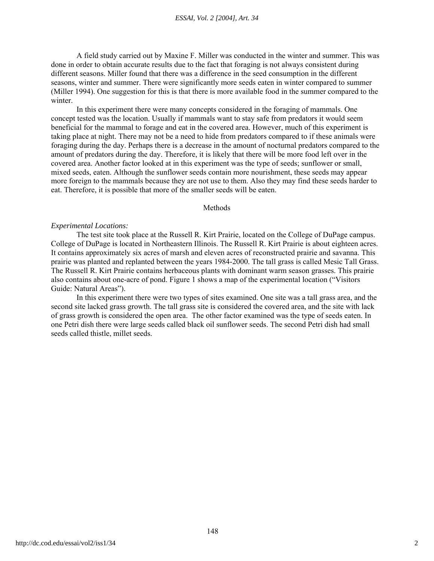#### *ESSAI, Vol. 2 [2004], Art. 34*

A field study carried out by Maxine F. Miller was conducted in the winter and summer. This was done in order to obtain accurate results due to the fact that foraging is not always consistent during different seasons. Miller found that there was a difference in the seed consumption in the different seasons, winter and summer. There were significantly more seeds eaten in winter compared to summer (Miller 1994). One suggestion for this is that there is more available food in the summer compared to the winter.

In this experiment there were many concepts considered in the foraging of mammals. One concept tested was the location. Usually if mammals want to stay safe from predators it would seem beneficial for the mammal to forage and eat in the covered area. However, much of this experiment is taking place at night. There may not be a need to hide from predators compared to if these animals were foraging during the day. Perhaps there is a decrease in the amount of nocturnal predators compared to the amount of predators during the day. Therefore, it is likely that there will be more food left over in the covered area. Another factor looked at in this experiment was the type of seeds; sunflower or small, mixed seeds, eaten. Although the sunflower seeds contain more nourishment, these seeds may appear more foreign to the mammals because they are not use to them. Also they may find these seeds harder to eat. Therefore, it is possible that more of the smaller seeds will be eaten.

#### Methods

# *Experimental Locations:*

The test site took place at the Russell R. Kirt Prairie, located on the College of DuPage campus. College of DuPage is located in Northeastern Illinois. The Russell R. Kirt Prairie is about eighteen acres. It contains approximately six acres of marsh and eleven acres of reconstructed prairie and savanna. This prairie was planted and replanted between the years 1984-2000. The tall grass is called Mesic Tall Grass. The Russell R. Kirt Prairie contains herbaceous plants with dominant warm season grasses. This prairie also contains about one-acre of pond. Figure 1 shows a map of the experimental location ("Visitors Guide: Natural Areas").

In this experiment there were two types of sites examined. One site was a tall grass area, and the second site lacked grass growth. The tall grass site is considered the covered area, and the site with lack of grass growth is considered the open area. The other factor examined was the type of seeds eaten. In one Petri dish there were large seeds called black oil sunflower seeds. The second Petri dish had small seeds called thistle, millet seeds.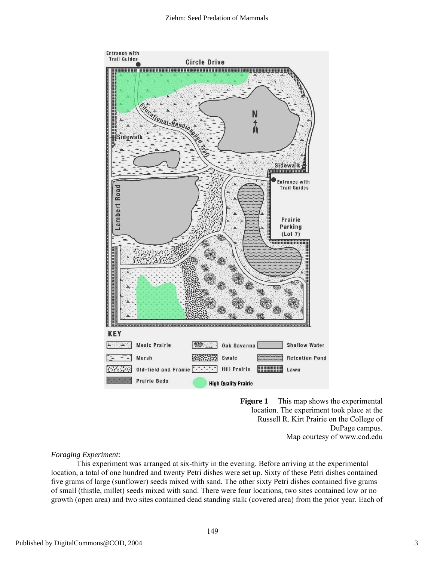

**Figure 1** This map shows the experimental location. The experiment took place at the Russell R. Kirt Prairie on the College of DuPage campus. Map courtesy of www.cod.edu

# *Foraging Experiment:*

This experiment was arranged at six-thirty in the evening. Before arriving at the experimental location, a total of one hundred and twenty Petri dishes were set up. Sixty of these Petri dishes contained five grams of large (sunflower) seeds mixed with sand. The other sixty Petri dishes contained five grams of small (thistle, millet) seeds mixed with sand. There were four locations, two sites contained low or no growth (open area) and two sites contained dead standing stalk (covered area) from the prior year. Each of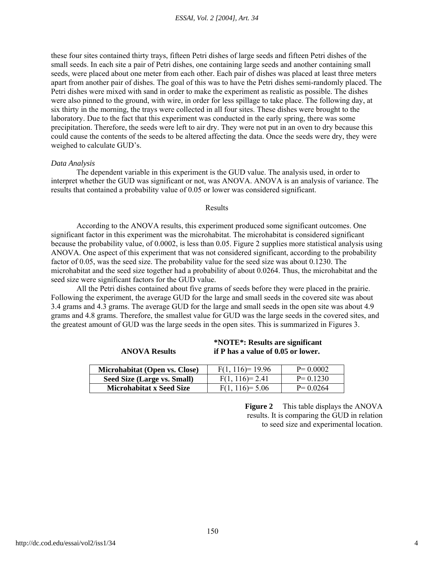these four sites contained thirty trays, fifteen Petri dishes of large seeds and fifteen Petri dishes of the small seeds. In each site a pair of Petri dishes, one containing large seeds and another containing small seeds, were placed about one meter from each other. Each pair of dishes was placed at least three meters apart from another pair of dishes. The goal of this was to have the Petri dishes semi-randomly placed. The Petri dishes were mixed with sand in order to make the experiment as realistic as possible. The dishes were also pinned to the ground, with wire, in order for less spillage to take place. The following day, at six thirty in the morning, the trays were collected in all four sites. These dishes were brought to the laboratory. Due to the fact that this experiment was conducted in the early spring, there was some precipitation. Therefore, the seeds were left to air dry. They were not put in an oven to dry because this could cause the contents of the seeds to be altered affecting the data. Once the seeds were dry, they were weighed to calculate GUD's.

# *Data Analysis*

The dependent variable in this experiment is the GUD value. The analysis used, in order to interpret whether the GUD was significant or not, was ANOVA. ANOVA is an analysis of variance. The results that contained a probability value of 0.05 or lower was considered significant.

# Results

According to the ANOVA results, this experiment produced some significant outcomes. One significant factor in this experiment was the microhabitat. The microhabitat is considered significant because the probability value, of 0.0002, is less than 0.05. Figure 2 supplies more statistical analysis using ANOVA. One aspect of this experiment that was not considered significant, according to the probability factor of 0.05, was the seed size. The probability value for the seed size was about 0.1230. The microhabitat and the seed size together had a probability of about 0.0264. Thus, the microhabitat and the seed size were significant factors for the GUD value.

All the Petri dishes contained about five grams of seeds before they were placed in the prairie. Following the experiment, the average GUD for the large and small seeds in the covered site was about 3.4 grams and 4.3 grams. The average GUD for the large and small seeds in the open site was about 4.9 grams and 4.8 grams. Therefore, the smallest value for GUD was the large seeds in the covered sites, and the greatest amount of GUD was the large seeds in the open sites. This is summarized in Figures 3.

| Microhabitat (Open vs. Close)   | $F(1, 116)=19.96$ | $P = 0.0002$ |
|---------------------------------|-------------------|--------------|
| Seed Size (Large vs. Small)     | $F(1, 116)=2.41$  | $P = 0.1230$ |
| <b>Microhabitat x Seed Size</b> | $F(1, 116)=5.06$  | $P = 0.0264$ |

**\*NOTE\*: Results are significant if P has a value of 0.05 or lower.** 

**ANOVA Results** 

**Figure 2** This table displays the ANOVA results. It is comparing the GUD in relation to seed size and experimental location.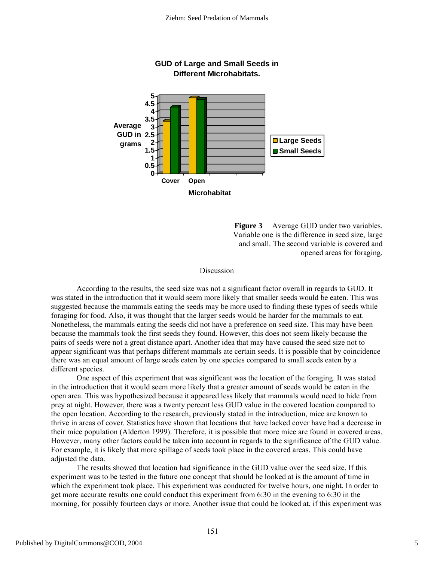

**Figure 3** Average GUD under two variables. Variable one is the difference in seed size, large and small. The second variable is covered and opened areas for foraging.

#### **Discussion**

According to the results, the seed size was not a significant factor overall in regards to GUD. It was stated in the introduction that it would seem more likely that smaller seeds would be eaten. This was suggested because the mammals eating the seeds may be more used to finding these types of seeds while foraging for food. Also, it was thought that the larger seeds would be harder for the mammals to eat. Nonetheless, the mammals eating the seeds did not have a preference on seed size. This may have been because the mammals took the first seeds they found. However, this does not seem likely because the pairs of seeds were not a great distance apart. Another idea that may have caused the seed size not to appear significant was that perhaps different mammals ate certain seeds. It is possible that by coincidence there was an equal amount of large seeds eaten by one species compared to small seeds eaten by a different species.

One aspect of this experiment that was significant was the location of the foraging. It was stated in the introduction that it would seem more likely that a greater amount of seeds would be eaten in the open area. This was hypothesized because it appeared less likely that mammals would need to hide from prey at night. However, there was a twenty percent less GUD value in the covered location compared to the open location. According to the research, previously stated in the introduction, mice are known to thrive in areas of cover. Statistics have shown that locations that have lacked cover have had a decrease in their mice population (Alderton 1999). Therefore, it is possible that more mice are found in covered areas. However, many other factors could be taken into account in regards to the significance of the GUD value. For example, it is likely that more spillage of seeds took place in the covered areas. This could have adjusted the data.

The results showed that location had significance in the GUD value over the seed size. If this experiment was to be tested in the future one concept that should be looked at is the amount of time in which the experiment took place. This experiment was conducted for twelve hours, one night. In order to get more accurate results one could conduct this experiment from 6:30 in the evening to 6:30 in the morning, for possibly fourteen days or more. Another issue that could be looked at, if this experiment was